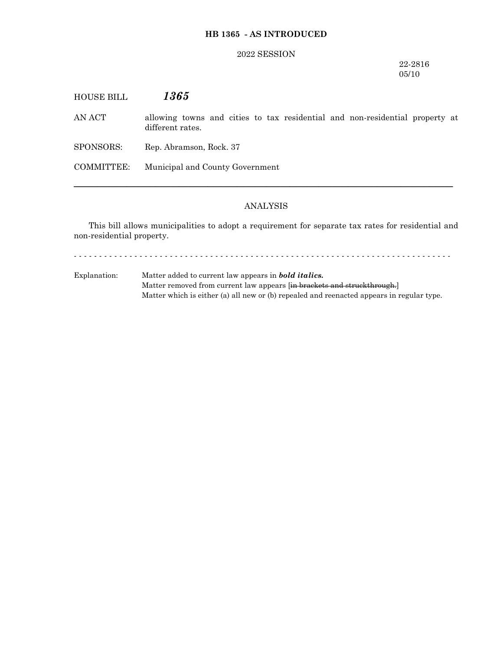# **HB 1365 - AS INTRODUCED**

## 2022 SESSION

22-2816 05/10

| <b>HOUSE BILL</b> | 1365                                                                                             |
|-------------------|--------------------------------------------------------------------------------------------------|
| AN ACT            | allowing towns and cities to tax residential and non-residential property at<br>different rates. |
| SPONSORS:         | Rep. Abramson, Rock. 37                                                                          |
| COMMITTEE:        | Municipal and County Government                                                                  |
|                   |                                                                                                  |

# ANALYSIS

─────────────────────────────────────────────────────────────────

This bill allows municipalities to adopt a requirement for separate tax rates for residential and non-residential property.

- - - - - - - - - - - - - - - - - - - - - - - - - - - - - - - - - - - - - - - - - - - - - - - - - - - - - - - - - - - - - - - - - - - - - - - - - - -

Explanation: Matter added to current law appears in *bold italics.* Matter removed from current law appears [in brackets and struckthrough.] Matter which is either (a) all new or (b) repealed and reenacted appears in regular type.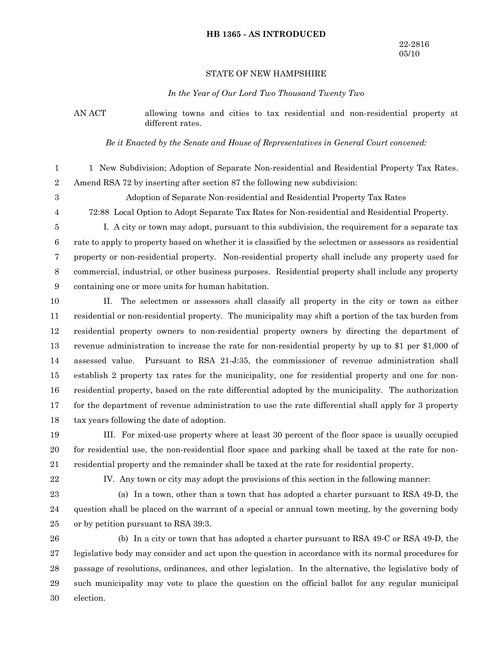#### **HB 1365 - AS INTRODUCED**

### STATE OF NEW HAMPSHIRE

#### *In the Year of Our Lord Two Thousand Twenty Two*

AN ACT allowing towns and cities to tax residential and non-residential property at different rates.

*Be it Enacted by the Senate and House of Representatives in General Court convened:*

- 1 New Subdivision; Adoption of Separate Non-residential and Residential Property Tax Rates. Amend RSA 72 by inserting after section 87 the following new subdivision: 1 2
- 3

Adoption of Separate Non-residential and Residential Property Tax Rates

4

72:88 Local Option to Adopt Separate Tax Rates for Non-residential and Residential Property.

I. A city or town may adopt, pursuant to this subdivision, the requirement for a separate tax rate to apply to property based on whether it is classified by the selectmen or assessors as residential property or non-residential property. Non-residential property shall include any property used for commercial, industrial, or other business purposes. Residential property shall include any property containing one or more units for human habitation. 5 6 7 8 9

II. The selectmen or assessors shall classify all property in the city or town as either residential or non-residential property. The municipality may shift a portion of the tax burden from residential property owners to non-residential property owners by directing the department of revenue administration to increase the rate for non-residential property by up to \$1 per \$1,000 of assessed value. Pursuant to RSA 21-J:35, the commissioner of revenue administration shall establish 2 property tax rates for the municipality, one for residential property and one for nonresidential property, based on the rate differential adopted by the municipality. The authorization for the department of revenue administration to use the rate differential shall apply for 3 property tax years following the date of adoption. 10 11 12 13 14 15 16 17 18

III. For mixed-use property where at least 30 percent of the floor space is usually occupied for residential use, the non-residential floor space and parking shall be taxed at the rate for nonresidential property and the remainder shall be taxed at the rate for residential property. 19 20 21

22

IV. Any town or city may adopt the provisions of this section in the following manner:

(a) In a town, other than a town that has adopted a charter pursuant to RSA 49-D, the question shall be placed on the warrant of a special or annual town meeting, by the governing body or by petition pursuant to RSA 39:3. 23 24 25

(b) In a city or town that has adopted a charter pursuant to RSA 49-C or RSA 49-D, the legislative body may consider and act upon the question in accordance with its normal procedures for passage of resolutions, ordinances, and other legislation. In the alternative, the legislative body of such municipality may vote to place the question on the official ballot for any regular municipal election. 26 27 28 29 30